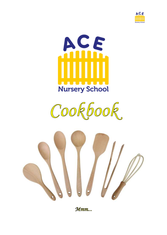







Mmm...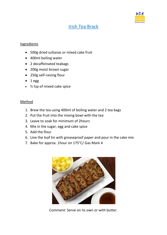

# Irish Tea Brack

#### Ingredients

- 500g dried sultanas or mixed cake fruit
- 400ml boiling water
- 2 decaffeinated teabags
- 200g moist brown sugar
- 250g self-raising flour
- $-1$  egg
- ½ tsp of mixed cake spice

### Method

- 1. Brew the tea using 400ml of boiling water and 2 tea bags
- 2. Put the fruit into the mixing bowl with the tea
- 3. Leave to soak for minimum of 2hours
- 4. Mix in the sugar, egg and cake spice
- 5. Add the flour
- 6. Line the loaf tin with greaseproof paper and pour in the cake mix
- 7. Bake for approx. 1hour on 175°C/ Gas Mark 4



Comment: Serve on its own or with butter.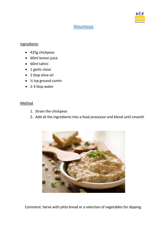

# **Houmous**

### **Ingredients**

- 425g chickpeas
- 60ml lemon juice
- 60ml tahini
- 1 garlic clove
- 2 tbsp olive oil
- $\bullet$  % tsp ground cumin
- 2-3 tbsp water

## Method

- 1. Strain the chickpeas
- 2. Add all the ingredients into a food processor and blend until smooth



Comment: Serve with pitta bread or a selection of vegetables for dipping.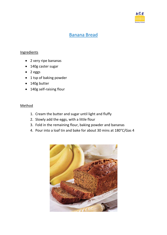

# Banana Bread

## **Ingredients**

- 2 very ripe bananas
- 140g caster sugar
- $\bullet$  2 eggs
- 1 tsp of baking powder
- 140g butter
- 140g self-raising flour

- 1. Cream the butter and sugar until light and fluffy
- 2. Slowly add the eggs, with a little flour
- 3. Fold in the remaining flour, baking powder and bananas
- 4. Pour into a loaf tin and bake for about 30 mins at 180°C/Gas 4

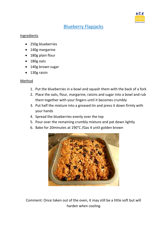

# Blueberry Flapjacks

### **Ingredients**

- 250g blueberries
- 140g margarine
- 180g plain flour
- 180g oats
- 140g brown sugar
- 130g raisin

### Method

- 1. Put the blueberries in a bowl and squash them with the back of a fork
- 2. Place the oats, flour, margarine, raisins and sugar into a bowl and rub them together with your fingers until it becomes crumbly
- 3. Put half the mixture into a greased tin and press it down firmly with your hands
- 4. Spread the blueberries evenly over the top
- 5. Pour over the remaining crumbly mixture and pat down lightly
- 6. Bake for 20minutes at 190°C /Gas 4 until golden brown



Comment: Once taken out of the oven, it may still be a little soft but will harden when cooling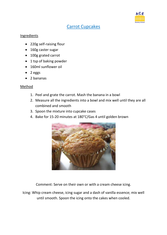

# Carrot Cupcakes

#### **Ingredients**

- 220g self-raising flour
- 160g caster sugar
- 100g grated carrot
- 1 tsp of baking powder
- 160ml sunflower oil
- $\bullet$  2 eggs
- 2 bananas

### Method

- 1. Peel and grate the carrot. Mash the banana in a bowl
- 2. Measure all the ingredients into a bowl and mix well until they are all combined and smooth
- 3. Spoon the mixture into cupcake cases
- 4. Bake for 15-20 minutes at 180°C/Gas 4 until golden brown



Comment: Serve on their own or with a cream cheese icing.

Icing: Whip cream cheese, icing sugar and a dash of vanilla essence; mix well until smooth. Spoon the icing onto the cakes when cooled.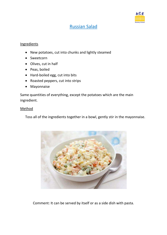

# Russian Salad

#### Ingredients

- New potatoes, cut into chunks and lightly steamed
- Sweetcorn
- Olives, cut in half
- Peas, boiled
- Hard-boiled egg, cut into bits
- Roasted peppers, cut into strips
- Mayonnaise

Same quantities of everything, except the potatoes which are the main ingredient.

#### Method

Toss all of the ingredients together in a bowl, gently stir in the mayonnaise.



Comment: It can be served by itself or as a side dish with pasta.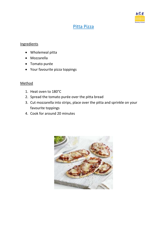

# Pitta Pizza

### **Ingredients**

- Wholemeal pitta
- Mozzarella
- Tomato purée
- Your favourite pizza toppings

- 1. Heat oven to 180°C
- 2. Spread the tomato purée over the pitta bread
- 3. Cut mozzarella into strips, place over the pitta and sprinkle on your favourite toppings
- 4. Cook for around 20 minutes

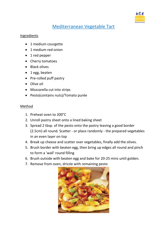

# Mediterranean Vegetable Tart

#### Ingredients

- 1 medium courgette
- 1 medium red onion
- 1 red pepper
- Cherry tomatoes
- Black olives
- 1 egg, beaten
- Pre-rolled puff pastry
- Olive oil
- Mozzarella cut into strips
- Pesto(contains nuts)/Tomato purée

- 1. Preheat oven to 200°C
- 2. Unroll pastry sheet onto a lined baking sheet
- 3. Spread 2 tbsp. of the pesto onto the pastry leaving a good border (2.5cm) all round. Scatter - or place randomly - the prepared vegetables in an even layer on top
- 4. Break up cheese and scatter over vegetables, finally add the olives.
- 5. Brush border with beaten egg, then bring up edges all round and pinch to form a 'wall' round filling
- 6. Brush outside with beaten egg and bake for 20-25 mins until golden.
- 7. Remove from oven, drizzle with remaining pesto

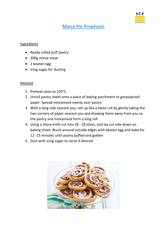

# Mince Pie Pinwheels

#### Ingredients

- Ready rolled puff pastry
- 200g mince meat
- 1 beaten egg
- Icing sugar for dusting

- 1. Preheat oven to 220°C
- 2. Unroll pastry sheet onto a piece of baking parchment or greaseproof paper. Spread mincemeat evenly over pastry
- 3. With a long side nearest you, roll up like a Swiss roll by gently taking the two corners of paper nearest you and drawing them away from you so the pastry and mincemeat form a long roll
- 4. Using a sharp knife cut into 18 20 slices, and lay cut side down on baking sheet. Brush around outside edges with beaten egg and bake for 12 -15 minutes until pastry puffed and golden
- 5. Dust with icing sugar to serve if desired

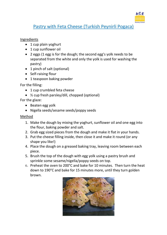

# Pastry with Feta Cheese [\(Turkish Peynirli Pogaca\)](http://www.turkishfoodandrecipes.com/2008/12/turkish-pogaca-with-cheese-peynirli.html)

### Ingredients

- 1 cup plain yoghurt
- 1 cup sunflower oil
- 2 eggs (1 egg is for the dough; the second egg's yolk needs to be separated from the white and only the yolk is used for washing the pastry)
- 1 pinch of salt (optional)
- Self-raising flour
- 1 teaspoon baking powder

## For the filling:

- 1 cup crumbled feta cheese
- ½ cup fresh parsley/dill, chopped (optional)

## For the glaze:

- Beaten egg yolk
- Nigella seeds/sesame seeds/poppy seeds

- 1. Make the dough by mixing the yoghurt, sunflower oil and one egg into the flour, baking powder and salt.
- 2. Grab egg sized pieces from the dough and make it flat in your hands.
- 3. Put the cheese filling inside, then close it and make it round (or any shape you like!)
- 4. Place the dough on a greased baking tray, leaving room between each piece.
- 5. Brush the top of the dough with egg yolk using a pastry brush and sprinkle some sesame/nigella/poppy seeds on top.
- 6. Preheat the oven to 200°C and bake for 10 minutes. Then turn the heat down to 190°C and bake for 15 minutes more, until they turn golden brown.

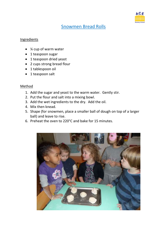

# Snowmen Bread Rolls

#### **Ingredients**

- ¼ cup of warm water
- 1 teaspoon sugar
- 1 teaspoon dried yeast
- 2 cups strong bread flour
- 1 tablespoon oil
- 1 teaspoon salt

- 1. Add the sugar and yeast to the warm water. Gently stir.
- 2. Put the flour and salt into a mixing bowl.
- 3. Add the wet ingredients to the dry. Add the oil.
- 4. Mix then knead.
- 5. Shape (for snowmen, place a smaller ball of dough on top of a larger ball) and leave to rise.
- 6. Preheat the oven to 220°C and bake for 15 minutes.

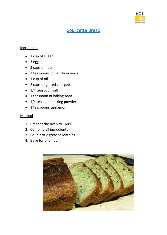

# Courgette Bread

### **Ingredients**

- 1 cup of sugar
- 3 eggs
- 3 cups of flour
- 3 teaspoons of vanilla essence
- $\bullet$  1 cup of oil
- 2 cups of grated courgette
- 1/4 teaspoon salt
- 1 teaspoon of baking soda
- 1/4 teaspoon baking powder
- 3 teaspoons cinnamon

- 1. Preheat the oven to 160°C
- 2. Combine all ingredients
- 3. Pour into 2 greased loaf tins
- 4. Bake for one hour

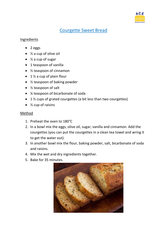

# Courgette Sweet Bread

#### **Ingredients**

- $\bullet$  2 eggs
- $\bullet$  % a cup of olive oil
- $\bullet$  % a cup of sugar
- 1 teaspoon of vanilla
- ½ teaspoon of cinnamon
- $\bullet$  1 % a cup of plain flour
- ½ teaspoon of baking powder
- ½ teaspoon of salt
- ¼ teaspoon of bicarbonate of soda
- $\bullet$  1 % cups of grated courgettes (a bit less than two courgettes)
- $\bullet$  % cup of raisins

- 1. Preheat the oven to 180°C
- 2. In a bowl mix the eggs, olive oil, sugar, vanilla and cinnamon. Add the courgettes (you can put the courgettes in a clean tea towel and wring it to get the water out).
- 3. In another bowl mix the flour, baking powder, salt, bicarbonate of soda and raisins.
- 4. Mix the wet and dry ingredients together.
- 5. Bake for 35 minutes.

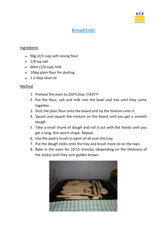

# Breadsticks

### Ingredients

- 90g (2/3 cup) self-raising flour
- $\cdot$  1/8 tsp salt
- $\bullet$  60ml (1/4 cup) milk
- 1tbsp plain flour for dusting
- 1-2 tbsp olive oil

- 1. Preheat the oven to 220°C/Gas 7/425°F
- 2. Put the flour, salt and milk into the bowl and mix until they come together.
- 3. Dust the plain flour onto the board and tip the mixture onto it.
- 4. Squish and squash the mixture on the board until you get a smooth dough.
- 5. Take a small chunk of dough and roll it out with flat hands until you get a long, thin worm shape. Repeat.
- 6. Use the pastry brush to paint oil all over the tray.
- 7. Put the dough sticks onto the tray and brush more oil on the tops.
- 8. Bake in the oven for 10-15 minutes (depending on the thickness of the sticks) until they turn golden brown.

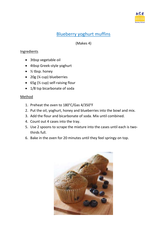

# Blueberry yoghurt muffins

(Makes 4)

### Ingredients

- 3tbsp vegetable oil
- 4tbsp Greek-style yoghurt
- $\bullet$  % tbsp. honey
- 20g ( $\frac{1}{4}$  cup) blueberries
- 65g ( $\frac{1}{2}$  cup) self-raising flour
- 1/8 tsp bicarbonate of soda

- 1. Preheat the oven to 180°C/Gas 4/350°F
- 2. Put the oil, yoghurt, honey and blueberries into the bowl and mix.
- 3. Add the flour and bicarbonate of soda. Mix until combined.
- 4. Count out 4 cases into the tray.
- 5. Use 2 spoons to scrape the mixture into the cases until each is twothirds full.
- 6. Bake in the oven for 20 minutes until they feel springy on top.

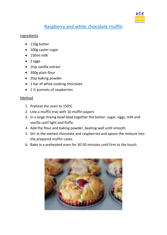

# Raspberry and white chocolate muffin

### **Ingredients**

- 110g butter
- 100g caster sugar
- 150ml milk
- $\bullet$  2 eggs
- 1tsp vanilla extract
- 300g plain flour
- 2tsp baking powder
- 1 bar of white cooking chocolate
- $\bullet$  1 % punnets of raspberries

- 1. Preheat the oven to 150°C
- 2. Line a muffin tray with 10 muffin papers
- 3. In a large mixing bowl beat together the butter, sugar, eggs, milk and vanilla until light and fluffy.
- 4. Add the flour and baking powder, beating well until smooth.
- 5. Stir in the melted chocolate and raspberries and spoon the mixture into the prepared muffin cases.
- 6. Bake in a preheated oven for 30-50 minutes until firm to the touch.

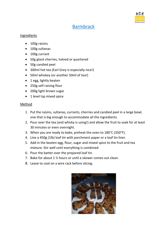

# Barmbrack

#### Ingredients

- 100g raisins
- 100g sultanas
- 100g currant
- 50g glacé cherries, halved or quartered
- 50g candied peel
- 300ml hot tea (Earl Grey is especially nice!)
- 50ml whiskey (or another 50ml of tea!)
- 1 egg, lightly beaten
- 250g self-raising flour
- 200g light brown sugar
- 1 level tsp mixed spice

- 1. Put the raisins, sultanas, currants, cherries and candied peel in a large bowl, one that is big enough to accommodate all the ingredients.
- 2. Pour over the tea (and whisky is using!) and allow the fruit to soak for at least 30 minutes or even overnight.
- 3. When you are ready to bake, preheat the oven to 180°C (350°F).
- 4. Line a 450g (1lb) loaf tin with parchment paper or a loaf tin liner.
- 5. Add in the beaten egg, flour, sugar and mixed spice to the fruit and tea mixture. Stir well until everything is combined.
- 6. Pour the batter over the prepared loaf tin.
- 7. Bake for about 1 ½ hours or until a skewer comes out clean.
- 8. Leave to cool on a wire rack before slicing.

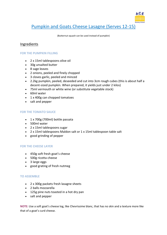

# Pumpkin and Goats Cheese Lasagne (Serves 12-15)

(Butternut squash can be used instead of pumpkin)

#### Ingredients

#### **FOR THE PUMPKIN FILLING**

- 2 x 15ml tablespoons olive oil
- 30g unsalted butter
- 8 sage leaves
- 2 onions, peeled and finely chopped
- 3 cloves garlic, peeled and minced
- 2.2kg pumpkin, peeled, deseeded and cut into 3cm rough cubes (this is about half a decent-sized pumpkin. When prepared, it yields just under 2 kilos)
- 75ml vermouth or white wine (or substitute vegetable stock)
- 60ml water
- 1 x 400g can chopped tomatoes
- salt and pepper

#### **FOR THE TOMATO SAUCE**

- 1 x 700g (700ml) bottle passata
- 500ml water
- 2 x 15ml tablespoons sugar
- 2 x 15ml tablespoons Maldon salt or 1 x 15ml tablespoon table salt
- good grinding of pepper

#### **FOR THE CHEESE LAYER**

- 450g soft fresh goat's cheese
- 500g ricotta cheese
- 3 large eggs
- good grating of fresh nutmeg

#### **TO ASSEMBLE**

- 2 x 300g packets fresh lasagne sheets
- 2 balls mozzarella
- 125g pine nuts toasted in a hot dry pan
- salt and pepper

**NOTE:** Use a soft goat's cheese log, like Chevrissime blanc, that has no skin and a texture more like that of a goat's curd cheese.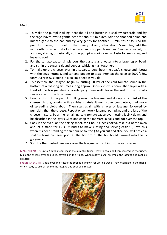

#### Method

- 1. To make the pumpkin filling: heat the oil and butter in a shallow casserole and fry the sage leaves over a gentle heat for about 2 minutes. Add the chopped onion and minced garlic to the pan and fry very gently for another 10 minutes or so. Add the pumpkin pieces, turn well in the oniony oil and, after about 5 minutes, add the vermouth (or wine or stock), the water and chopped tomatoes. Simmer, covered, for an hour, stirring occasionally so the pumpkin cooks evenly. Taste for seasoning and leave to cool.
- 2. For the tomato sauce: simply pour the passata and water into a large jug or bowl, and stir in the sugar, salt and pepper, whisking it all together.
- 3. To make up the cheese layer: in a separate bowl beat the goat's cheese and ricotta with the eggs, nutmeg, and salt and pepper to taste. Preheat the oven to 200C/180C fan/400F/gas 6, slipping in a baking sheet as you do.
- 4. To assemble the lasagne, begin by putting 500ml of the cold tomato sauce in the bottom of a roasting tin (measuring approx. 36cm x 26cm x 6cm). Then layer with a third of the lasagne sheets, overlapping them well. Leave the rest of the tomato sauce aside for the time being.
- 5. Layer a third of the pumpkin filling over the lasagne, and dollop on a third of the cheese mixture, coaxing with a rubber spatula. It won't cover completely; think more of spreading blobs about. Then start again with a layer of lasagne, followed by pumpkin, then the cheese. Repeat once more – lasagne, pumpkin, and the last of the cheese mixture. Pour the remaining cold tomato sauce over, letting it sink down and be absorbed in the layers. Slice and chop the mozzarella balls and dot over the top.
- 6. Cook in the oven, on the baking sheet, for 1 hour. Once cooked, take out of the oven and let it stand for 15-30 minutes to make cutting and serving easier. (I love this when it's been standing for an hour or so, too.) As you cut and slice, you will notice a shallow tomato-cheesy pool at the bottom of the tin; bread dunked into this is gorgeous.
- 7. Sprinkle the toasted pine nuts over the lasagne, and cut into squares to serve.

MAKE AHEAD TIP: Up to 2 days ahead, make the pumpkin filling, leave to cool and keep covered, in the fridge. Make the cheese layer and keep, covered, in the fridge. When ready to use, assemble the lasagne and cook as directed.

FREEZE AHEAD TIP: Cook, cool and freeze the cooked pumpkin for up to 1 week. Thaw overnight in the fridge. When ready to use, assemble the lasagne and cook as directed.

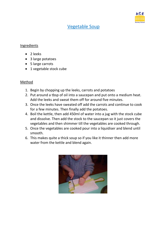

# Vegetable Soup

#### Ingredients

- 2 leeks
- 3 large potatoes
- 5 large carrots
- 1 vegetable stock cube

- 1. Begin by chopping up the leeks, carrots and potatoes
- 2. Put around a tbsp of oil into a saucepan and put onto a medium heat. Add the leeks and sweat them off for around five minutes.
- 3. Once the leeks have sweated off add the carrots and continue to cook for a few minutes. Then finally add the potatoes.
- 4. Boil the kettle, then add 450ml of water into a jug with the stock cube and dissolve. Then add the stock to the saucepan so it just covers the vegetables and then shimmer till the vegetables are cooked through.
- 5. Once the vegetables are cooked pour into a liquidiser and blend until smooth.
- 6. This makes quite a thick soup so if you like it thinner then add more water from the kettle and blend again.

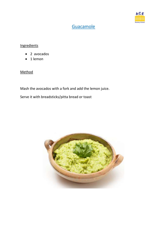

# **Guacamole**

# **Ingredients**

- 2 avocados
- $\bullet$  1 lemon

## Method

Mash the avocados with a fork and add the lemon juice.

Serve it with breadsticks/pitta bread or toast

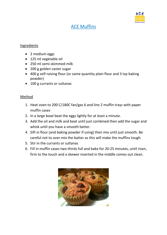

# ACE Muffins

#### Ingredients

- 2 medium eggs
- 125 ml vegetable oil
- 250 ml semi-skimmed milk
- 200 g golden caster sugar
- 400 g self-raising flour (or same quantity plain flour and 3 tsp baking powder)
- 100 g currants or sultanas

- 1. Heat oven to 200 C/180C fan/gas 6 and line 2 muffin trays with paper muffin cases
- 2. In a large bowl beat the eggs lightly for at least a minute.
- 3. Add the oil and milk and beat until just combined then add the sugar and whisk until you have a smooth batter.
- 4. Sift in flour (and baking powder if using) then mix until just smooth. Be careful not to over-mix the batter as this will make the muffins tough.
- 5. Stir in the currants or sultanas
- 6. Fill in muffin cases two-thirds full and bake for 20-25 minutes, until risen, firm to the touch and a skewer inserted in the middle comes out clean.

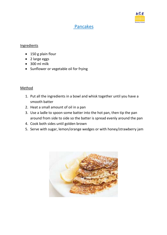

# Pancakes

### Ingredients

- 150 g plain flour
- 2 large eggs
- 300 ml milk
- Sunflower or vegetable oil for frying

- 1. Put all the ingredients in a bowl and whisk together until you have a smooth batter
- 2. Heat a small amount of oil in a pan
- 3. Use a ladle to spoon some batter into the hot pan, then tip the pan around from side to side so the batter is spread evenly around the pan
- 4. Cook both sides until golden brown
- 5. Serve with sugar, lemon/orange wedges or with honey/strawberry jam

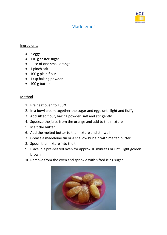

# Madeleines

### Ingredients

- 2 eggs
- 110 g caster sugar
- Juice of one small orange
- 1 pinch salt
- 100 g plain flour
- 1 tsp baking powder
- 100 g butter

- 1. Pre heat oven to 180°C
- 2. In a bowl cream together the sugar and eggs until light and fluffy
- 3. Add sifted flour, baking powder, salt and stir gently
- 4. Squeeze the juice from the orange and add to the mixture
- 5. Melt the butter
- 6. Add the melted butter to the mixture and stir well
- 7. Grease a madeleine tin or a shallow bun tin with melted butter
- 8. Spoon the mixture into the tin
- 9. Place in a pre-heated oven for approx 10 minutes or until light golden brown
- 10.Remove from the oven and sprinkle with sifted icing sugar

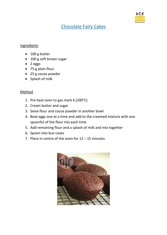

# Chocolate Fairy Cakes

### Ingredients

- 100 g butter
- 100 g soft brown sugar
- $2 eggs$
- 75 g plain flour
- 25 g cocoa powder
- Splash of milk

- 1. Pre heat oven to gas mark 6 (200°C)
- 2. Cream butter and sugar
- 3. Sieve flour and cocoa powder in another bowl
- 4. Beat eggs one at a time and add to the creamed mixture with one spoonful of the flour mix each time
- 5. Add remaining flour and a splash of milk and mix together
- 6. Spoon into bun cases
- 7. Place in centre of the oven for 12 15 minutes

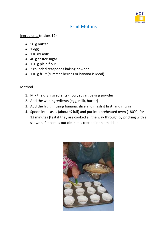

# Fruit Muffins

Ingredients (makes 12)

- 50 g butter
- $\bullet$  1 egg
- $\bullet$  110 ml milk
- 40 g caster sugar
- 150 g plain flour
- 2 rounded teaspoons baking powder
- 110 g fruit (summer berries or banana is ideal)

- 1. Mix the dry ingredients (flour, sugar, baking powder)
- 2. Add the wet ingredients (egg, milk, butter)
- 3. Add the fruit (if using banana, slice and mash it first) and mix in
- 4. Spoon into cases (about ¾ full) and put into preheated oven (180°C) for 12 minutes (test if they are cooked all the way through by pricking with a skewer, if it comes out clean it is cooked in the middle)

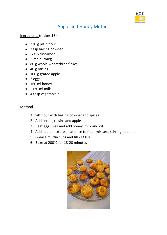

# Apple and Honey Muffins

Ingredients (makes 18)

- 220 g plain flour
- 3 tsp baking powder
- $\bullet$  % tsp cinnamon
- ¼ tsp nutmeg
- 80 g whole wheat/bran flakes
- 40 g raising
- 100 g grated apple
- 2 eggs
- 160 ml honey
- £120 ml milk
- 4 tbsp vegetable oil

- 1. Sift flour with baking powder and spices
- 2. Add cereal, raisins and apple
- 3. Beat eggs well and add honey, milk and oil
- 4. Add liquid mixture all at once to flour mixture, stirring to blend
- 5. Grease muffin cups and fill 2/3 full.
- 6. Bake at 200°C for 18-20 minutes

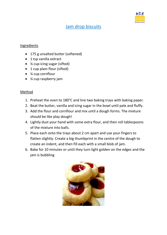

# **Jam drop biscuits**

### Ingredients

- 175 g unsalted butter (softened)
- 1 tsp vanilla extract
- ¼ cup icing sugar (sifted)
- 1 cup plain flour (sifted)
- ¼ cup cornflour
- *1*⁄4 cup raspberry jam

- 1. Preheat the oven to 180°C and line two baking trays with baking paper.
- 2. Beat the butter, vanilla and icing sugar in the bowl until pale and fluffy.
- 3. Add the flour and cornflour and mix until a dough forms. The mixture should be like play dough!
- 4. Lightly dust your hand with some extra flour, and then roll tablespoons of the mixture into balls.
- 5. Place each onto the trays about 2 cm apart and use your fingers to flatten slightly. Create a big thumbprint in the centre of the dough to create an indent, and then fill each with a small blob of jam.
- 6. Bake for 10 minutes or until they turn light golden on the edges and the jam is bubbling

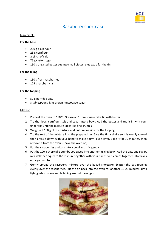

# Raspberry shortcake

#### Ingredients

#### **For the base**

- 200 g plain flour
- 25 g cornflour
- a pinch of salt
- 75 g caster sugar
- 150 g unsalted butter cut into small pieces, plus extra for the tin

#### **For the filling**

- 150 g fresh raspberries
- 125 g raspberry jam

#### **For the topping**

- 50 g porridge oats
- 3 tablespoons light brown muscovado sugar

- 1. Preheat the oven to 180°C. Grease an 18 cm square cake tin with butter.
- 2. Tip the flour, cornflour, salt and sugar into a bowl. Add the butter and rub it in with your fingertips until the mixture looks like fine crumbs.
- 3. Weigh out 100 g of the mixture and put on one side for the topping.
- 4. Tip the rest of the mixture into the prepared tin. Give the tin a shake so it is evenly spread then press it down with your hand to make a firm, even layer. Bake it for 10 minutes, then remove it from the oven. (Leave the oven on)
- 5. Put the raspberries and jam into a bowl and mix gently.
- 6. Put the 100 g shortcake crumbs you saved into another mixing bowl. Add the oats and sugar, mix well then squeeze the mixture together with your hands so it comes together into flakes or large crumbs.
- 7. Gently spread the raspberry mixture over the baked shortcake. Scatter the oat topping evenly over the raspberries. Put the tin back into the oven for another 15-20 minutes, until light golden brown and bubbling around the edges.

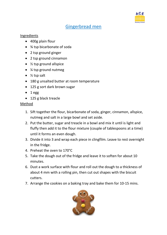

# Gingerbread men

### Ingredients

- 400g plain flour
- ¾ tsp bicarbonate of soda
- 2 tsp ground ginger
- 2 tsp ground cinnamon
- $\bullet$  % tsp ground allspice
- $\frac{1}{4}$  tsp ground nutmeg
- $\bullet$  % tsp salt
- 180 g unsalted butter at room temperature
- 125 g sort dark brown sugar
- $-1$  egg
- 125 g black treacle

- 1. Sift together the flour, bicarbonate of soda, ginger, cinnamon, allspice, nutmeg and salt in a large bowl and set aside.
- 2. Put the butter, sugar and treacle in a bowl and mix it until is light and fluffy then add it to the flour mixture (couple of tablespoons at a time) until it forms an even dough.
- 3. Divide it into 3 and wrap each piece in clingfilm. Leave to rest overnight in the fridge.
- 4. Preheat the oven to 170°C
- 5. Take the dough out of the fridge and leave it to soften for about 10 minutes.
- 6. Dust a work surface with flour and roll out the dough to a thickness of about 4 mm with a rolling pin, then cut out shapes with the biscuit cutters.
- 7. Arrange the cookies on a baking tray and bake them for 10-15 mins.

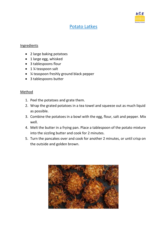

# Potato Latkes

### Ingredients

- 2 large baking potatoes
- 1 large egg, whisked
- 3 tablespoons flour
- 1 % teaspoon salt
- ¼ teaspoon freshly ground black pepper
- 3 tablespoons butter

- 1. Peel the potatoes and grate them.
- 2. Wrap the grated potatoes in a tea towel and squeeze out as much liquid as possible.
- 3. Combine the potatoes in a bowl with the egg, flour, salt and pepper. Mix well.
- 4. Melt the butter in a frying pan. Place a tablespoon of the potato mixture into the sizzling butter and cook for 2 minutes.
- 5. Turn the pancakes over and cook for another 2 minutes, or until crisp on the outside and golden brown.

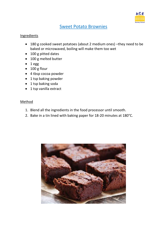

# Sweet Potato Brownies

#### **Ingredients**

- 180 g cooked sweet potatoes (about 2 medium ones) –they need to be baked or microwaved, boiling will make them too wet
- 100 g pitted dates
- 100 g melted butter
- $-1$  egg
- 100 g flour
- 4 tbsp cocoa powder
- 1 tsp baking powder
- 1 tsp baking soda
- 1 tsp vanilla extract

- 1. Blend all the ingredients in the food processor until smooth.
- 2. Bake in a tin lined with baking paper for 18-20 minutes at 180°C.

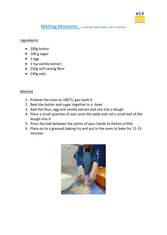

Melting Moments - a recipe from Gwen, Joe's mummy

### **Ingredients**

- 200g butter
- 100 g sugar
- $-1$  egg
- 1 tsp vanilla extract
- 250g self-raising flour
- $\bullet$  140g oats

- 1. Preheat the oven to 180°C/ gas mark 4.
- 2. Beat the butter and sugar together in a bowl
- 3. Add the flour, egg and vanilla extract and mix into a dough
- 4. Place a small quantity of oats onto the table and roll a small ball of the dough into it
- 5. Press the ball between the palms of your hands to flatten a little
- 6. Place on to a greased baking try and put in the oven to bake for 12-15 minutes

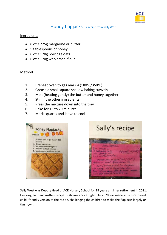

# Honey flapjacks - a recipe from Sally West

### Ingredients

- 8 oz / 225g margarine or butter
- 5 tablespoons of honey
- 6 oz / 170g porridge oats
- 6 oz / 170g wholemeal flour

### Method

- 1. Preheat oven to gas mark 4 (180°C/350°F)
- 2. Grease a small square shallow baking tray/tin
- 3. Melt (heating gently) the butter and honey together
- 4. Stir in the other ingredients
- 5. Press the mixture down into the tray
- 6. Bake for 15 to 20 minutes
- 7. Mark squares and leave to cool





Sally West was Deputy Head of ACE Nursery School for 28 years until her retirement in 2011. Her original handwritten recipe is shown above right. In 2020 we made a picture based, child- friendly version of the recipe, challenging the children to make the flapjacks largely on their own.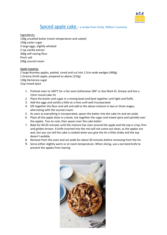

## Spiced apple cake – a recipe from Emily, Wilbur's mummy

Ingredients: 130g unsalted butter (room temperature and cubed) 150g caster sugar 3 large eggs, slightly whisked 2 tsp vanilla extract 300g self-raising flour Pinch salt 200g soured cream

Apple topping: 2 large Bramley apples, peeled, cored and cut into 1.5cm wide wedges (460g) 1 Granny Smith apple, prepared as above (125g) 130g Demerara sugar 1tsp mixed spice

- 1. Preheat oven to 160°C for a fan oven (otherwise 180° or Gas Mark 4). Grease and line a 23cm round cake tin
- 2. Place the butter and sugar in a mixing bowl and beat together until light and fluffy
- 3. Add the eggs and vanilla a little at a time until well incorporated
- 4. Sift together the flour and salt and add to the above mixture in two or three stages, alternating with the soured cream
- 5. As soon as everything is incorporated, spoon the batter into the cake tin and set aside.
- 6. Place all the apple slices in a bowl, mix together the sugar and mixed spice and sprinkle over the apples. Toss to coat, then spoon over the cake batter
- 7. Bake for 60-65 minutes until the mixture has risen around the apple and the top is crisp, firm and golden-brown. A knife inserted into the mix will not come out clean, as the apples are wet, but you can tell the cake is cooked when you give the tin a little shake and the top doesn't wobble.
- 8. Remove from the oven and set aside for about 30 minutes before removing from the tin.
- 9. Serve either slightly warm or at room temperature. When slicing, use a serrated knife to prevent the apples from tearing

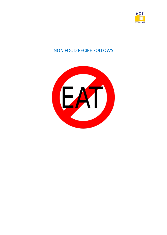

# NON FOOD RECIPE FOLLOWS